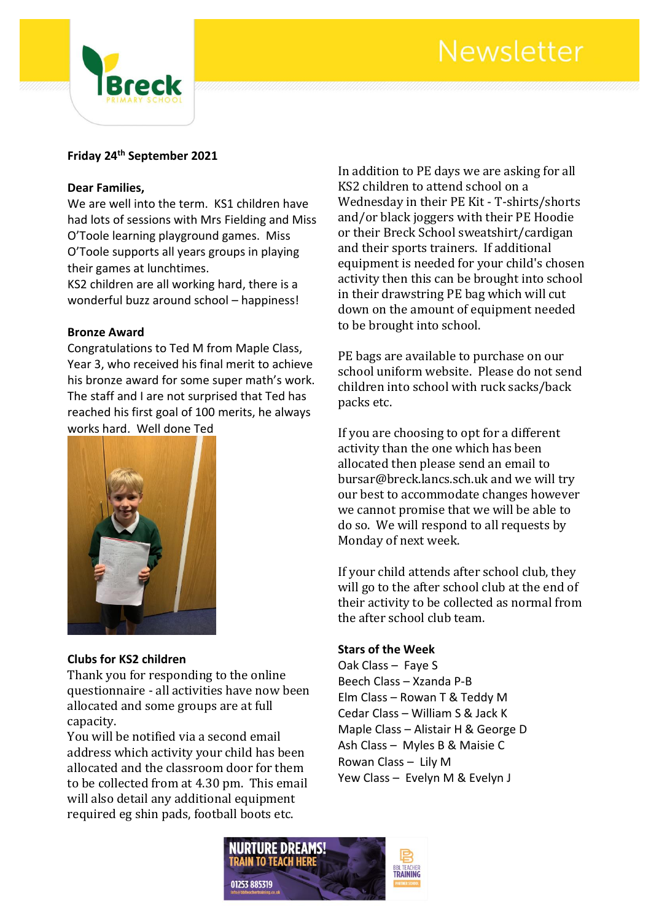# Newsletter



### **Friday 24th September 2021**

#### **Dear Families,**

We are well into the term. KS1 children have had lots of sessions with Mrs Fielding and Miss O'Toole learning playground games. Miss O'Toole supports all years groups in playing their games at lunchtimes.

KS2 children are all working hard, there is a wonderful buzz around school – happiness!

#### **Bronze Award**

Congratulations to Ted M from Maple Class, Year 3, who received his final merit to achieve his bronze award for some super math's work. The staff and I are not surprised that Ted has reached his first goal of 100 merits, he always works hard. Well done Ted



#### **Clubs for KS2 children**

Thank you for responding to the online questionnaire - all activities have now been allocated and some groups are at full capacity.

You will be notified via a second email address which activity your child has been allocated and the classroom door for them to be collected from at 4.30 pm. This email will also detail any additional equipment required eg shin pads, football boots etc.

In addition to PE days we are asking for all KS2 children to attend school on a Wednesday in their PE Kit - T-shirts/shorts and/or black joggers with their PE Hoodie or their Breck School sweatshirt/cardigan and their sports trainers. If additional equipment is needed for your child's chosen activity then this can be brought into school in their drawstring PE bag which will cut down on the amount of equipment needed to be brought into school.

PE bags are available to purchase on our school uniform website. Please do not send children into school with ruck sacks/back packs etc.

If you are choosing to opt for a different activity than the one which has been allocated then please send an email to bursar@breck.lancs.sch.uk and we will try our best to accommodate changes however we cannot promise that we will be able to do so. We will respond to all requests by Monday of next week.

If your child attends after school club, they will go to the after school club at the end of their activity to be collected as normal from the after school club team.

#### **Stars of the Week**

Oak Class – Faye S Beech Class – Xzanda P-B Elm Class – Rowan T & Teddy M Cedar Class – William S & Jack K Maple Class – Alistair H & George D Ash Class – Myles B & Maisie C Rowan Class – Lily M Yew Class – Evelyn M & Evelyn J

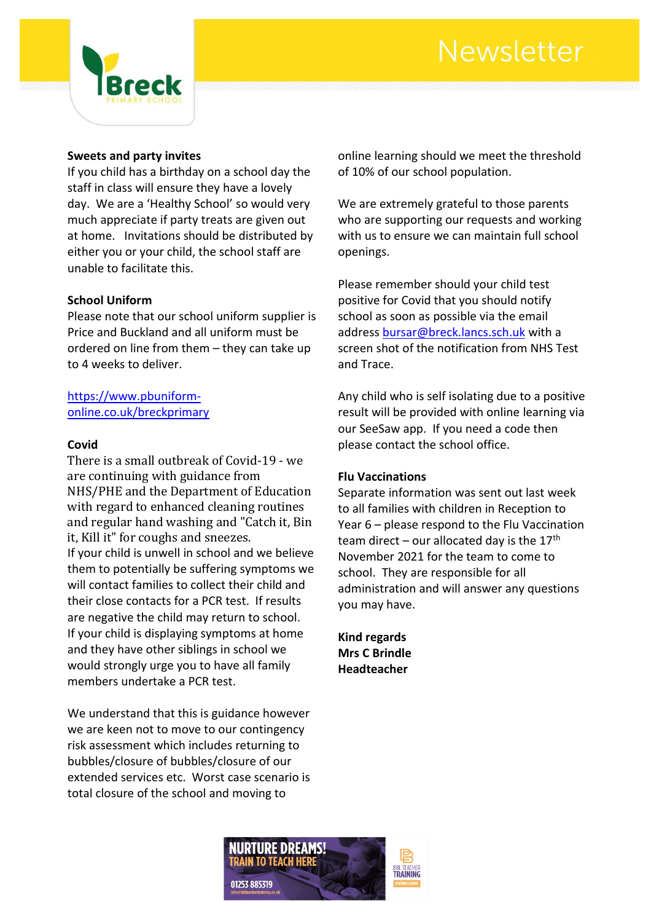# Newsletter



#### **Sweets and party invites**

If you child has a birthday on a school day the staff in class will ensure they have a lovely day. We are a 'Healthy School' so would very much appreciate if party treats are given out at home. Invitations should be distributed by either you or your child, the school staff are unable to facilitate this.

#### **School Uniform**

Please note that our school uniform supplier is Price and Buckland and all uniform must be ordered on line from them – they can take up to 4 weeks to deliver.

#### [https://www.pbuniform](https://www.pbuniform-online.co.uk/breckprimary)[online.co.uk/breckprimary](https://www.pbuniform-online.co.uk/breckprimary)

#### **Covid**

There is a small outbreak of Covid-19 - we are continuing with guidance from NHS/PHE and the Department of Education with regard to enhanced cleaning routines and regular hand washing and "Catch it, Bin it, Kill it" for coughs and sneezes. If your child is unwell in school and we believe them to potentially be suffering symptoms we will contact families to collect their child and their close contacts for a PCR test. If results are negative the child may return to school. If your child is displaying symptoms at home and they have other siblings in school we would strongly urge you to have all family members undertake a PCR test.

We understand that this is guidance however we are keen not to move to our contingency risk assessment which includes returning to bubbles/closure of bubbles/closure of our extended services etc. Worst case scenario is total closure of the school and moving to

online learning should we meet the threshold of 10% of our school population.

We are extremely grateful to those parents who are supporting our requests and working with us to ensure we can maintain full school openings.

Please remember should your child test positive for Covid that you should notify school as soon as possible via the email address [bursar@breck.lancs.sch.uk](mailto:bursar@breck.lancs.sch.uk) with a screen shot of the notification from NHS Test and Trace.

Any child who is self isolating due to a positive result will be provided with online learning via our SeeSaw app. If you need a code then please contact the school office.

#### **Flu Vaccinations**

Separate information was sent out last week to all families with children in Reception to Year 6 – please respond to the Flu Vaccination team direct – our allocated day is the  $17<sup>th</sup>$ November 2021 for the team to come to school. They are responsible for all administration and will answer any questions you may have.

**Kind regards Mrs C Brindle Headteacher**